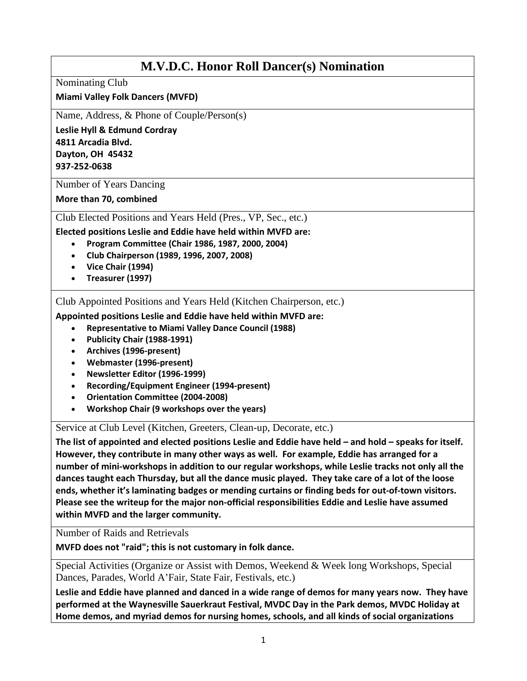## **M.V.D.C. Honor Roll Dancer(s) Nomination**

Nominating Club

**Miami Valley Folk Dancers (MVFD)**

Name, Address, & Phone of Couple/Person(s)

**Leslie Hyll & Edmund Cordray 4811 Arcadia Blvd. Dayton, OH 45432 937-252-0638** 

Number of Years Dancing

**More than 70, combined** 

Club Elected Positions and Years Held (Pres., VP, Sec., etc.)

**Elected positions Leslie and Eddie have held within MVFD are:**

- **Program Committee (Chair 1986, 1987, 2000, 2004)**
- **Club Chairperson (1989, 1996, 2007, 2008)**
- **Vice Chair (1994)**
- **Treasurer (1997)**

Club Appointed Positions and Years Held (Kitchen Chairperson, etc.)

**Appointed positions Leslie and Eddie have held within MVFD are:**

- **Representative to Miami Valley Dance Council (1988)**
- **Publicity Chair (1988-1991)**
- **Archives (1996-present)**
- **Webmaster (1996-present)**
- **Newsletter Editor (1996-1999)**
- **Recording/Equipment Engineer (1994-present)**
- **Orientation Committee (2004-2008)**
- **Workshop Chair (9 workshops over the years)**

Service at Club Level (Kitchen, Greeters, Clean-up, Decorate, etc.)

**The list of appointed and elected positions Leslie and Eddie have held – and hold – speaks for itself. However, they contribute in many other ways as well. For example, Eddie has arranged for a number of mini-workshops in addition to our regular workshops, while Leslie tracks not only all the dances taught each Thursday, but all the dance music played. They take care of a lot of the loose ends, whether it's laminating badges or mending curtains or finding beds for out-of-town visitors. Please see the writeup for the major non-official responsibilities Eddie and Leslie have assumed within MVFD and the larger community.** 

Number of Raids and Retrievals

**MVFD does not "raid"; this is not customary in folk dance.** 

Special Activities (Organize or Assist with Demos, Weekend & Week long Workshops, Special Dances, Parades, World A'Fair, State Fair, Festivals, etc.)

**Leslie and Eddie have planned and danced in a wide range of demos for many years now. They have performed at the Waynesville Sauerkraut Festival, MVDC Day in the Park demos, MVDC Holiday at Home demos, and myriad demos for nursing homes, schools, and all kinds of social organizations**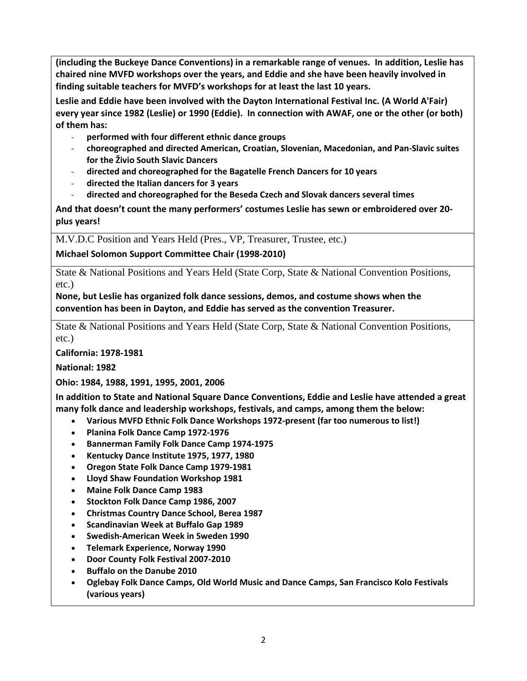**(including the Buckeye Dance Conventions) in a remarkable range of venues. In addition, Leslie has chaired nine MVFD workshops over the years, and Eddie and she have been heavily involved in finding suitable teachers for MVFD's workshops for at least the last 10 years.** 

**Leslie and Eddie have been involved with the Dayton International Festival Inc. (A World A'Fair) every year since 1982 (Leslie) or 1990 (Eddie). In connection with AWAF, one or the other (or both) of them has:**

- **performed with four different ethnic dance groups**
- **choreographed and directed American, Croatian, Slovenian, Macedonian, and Pan-Slavic suites for the Živio South Slavic Dancers**
- **directed and choreographed for the Bagatelle French Dancers for 10 years**
- **directed the Italian dancers for 3 years**
- **directed and choreographed for the Beseda Czech and Slovak dancers several times**

**And that doesn't count the many performers' costumes Leslie has sewn or embroidered over 20 plus years!**

M.V.D.C Position and Years Held (Pres., VP, Treasurer, Trustee, etc.)

**Michael Solomon Support Committee Chair (1998-2010)**

State & National Positions and Years Held (State Corp, State & National Convention Positions, etc.)

**None, but Leslie has organized folk dance sessions, demos, and costume shows when the convention has been in Dayton, and Eddie has served as the convention Treasurer.**

State & National Positions and Years Held (State Corp, State & National Convention Positions, etc.)

**California: 1978-1981** 

**National: 1982**

**Ohio: 1984, 1988, 1991, 1995, 2001, 2006**

**In addition to State and National Square Dance Conventions, Eddie and Leslie have attended a great many folk dance and leadership workshops, festivals, and camps, among them the below:** 

- **Various MVFD Ethnic Folk Dance Workshops 1972-present (far too numerous to list!)**
- **Planina Folk Dance Camp 1972-1976**
- **Bannerman Family Folk Dance Camp 1974-1975**
- **Kentucky Dance Institute 1975, 1977, 1980**
- **Oregon State Folk Dance Camp 1979-1981**
- **Lloyd Shaw Foundation Workshop 1981**
- **Maine Folk Dance Camp 1983**
- **Stockton Folk Dance Camp 1986, 2007**
- **Christmas Country Dance School, Berea 1987**
- **Scandinavian Week at Buffalo Gap 1989**
- **Swedish-American Week in Sweden 1990**
- **Telemark Experience, Norway 1990**
- **Door County Folk Festival 2007-2010**
- **Buffalo on the Danube 2010**
- **Oglebay Folk Dance Camps, Old World Music and Dance Camps, San Francisco Kolo Festivals (various years)**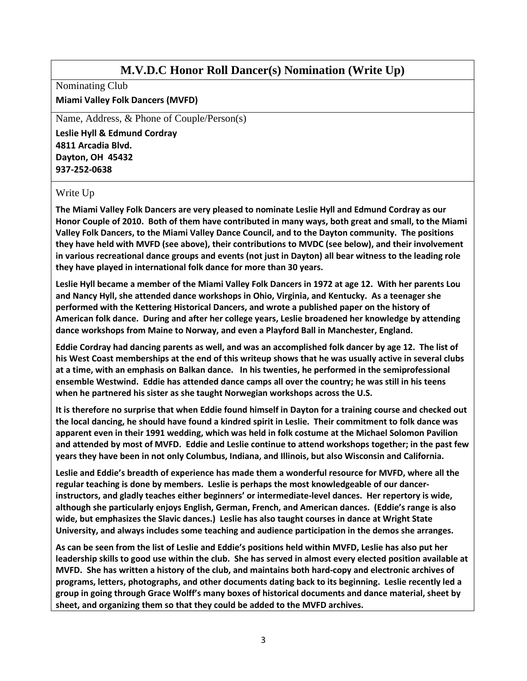## **M.V.D.C Honor Roll Dancer(s) Nomination (Write Up)**

Nominating Club

## **Miami Valley Folk Dancers (MVFD)**

Name, Address, & Phone of Couple/Person(s)

**Leslie Hyll & Edmund Cordray 4811 Arcadia Blvd. Dayton, OH 45432 937-252-0638** 

## Write Up

**The Miami Valley Folk Dancers are very pleased to nominate Leslie Hyll and Edmund Cordray as our Honor Couple of 2010. Both of them have contributed in many ways, both great and small, to the Miami Valley Folk Dancers, to the Miami Valley Dance Council, and to the Dayton community. The positions they have held with MVFD (see above), their contributions to MVDC (see below), and their involvement in various recreational dance groups and events (not just in Dayton) all bear witness to the leading role they have played in international folk dance for more than 30 years.** 

**Leslie Hyll became a member of the Miami Valley Folk Dancers in 1972 at age 12. With her parents Lou and Nancy Hyll, she attended dance workshops in Ohio, Virginia, and Kentucky. As a teenager she performed with the Kettering Historical Dancers, and wrote a published paper on the history of American folk dance. During and after her college years, Leslie broadened her knowledge by attending dance workshops from Maine to Norway, and even a Playford Ball in Manchester, England.** 

**Eddie Cordray had dancing parents as well, and was an accomplished folk dancer by age 12. The list of his West Coast memberships at the end of this writeup shows that he was usually active in several clubs at a time, with an emphasis on Balkan dance. In his twenties, he performed in the semiprofessional ensemble Westwind. Eddie has attended dance camps all over the country; he was still in his teens when he partnered his sister as she taught Norwegian workshops across the U.S.** 

**It is therefore no surprise that when Eddie found himself in Dayton for a training course and checked out the local dancing, he should have found a kindred spirit in Leslie. Their commitment to folk dance was apparent even in their 1991 wedding, which was held in folk costume at the Michael Solomon Pavilion and attended by most of MVFD. Eddie and Leslie continue to attend workshops together; in the past few years they have been in not only Columbus, Indiana, and Illinois, but also Wisconsin and California.** 

**Leslie and Eddie's breadth of experience has made them a wonderful resource for MVFD, where all the regular teaching is done by members. Leslie is perhaps the most knowledgeable of our dancerinstructors, and gladly teaches either beginners' or intermediate-level dances. Her repertory is wide, although she particularly enjoys English, German, French, and American dances. (Eddie's range is also wide, but emphasizes the Slavic dances.) Leslie has also taught courses in dance at Wright State University, and always includes some teaching and audience participation in the demos she arranges.** 

**As can be seen from the list of Leslie and Eddie's positions held within MVFD, Leslie has also put her leadership skills to good use within the club. She has served in almost every elected position available at MVFD. She has written a history of the club, and maintains both hard-copy and electronic archives of programs, letters, photographs, and other documents dating back to its beginning. Leslie recently led a group in going through Grace Wolff's many boxes of historical documents and dance material, sheet by sheet, and organizing them so that they could be added to the MVFD archives.**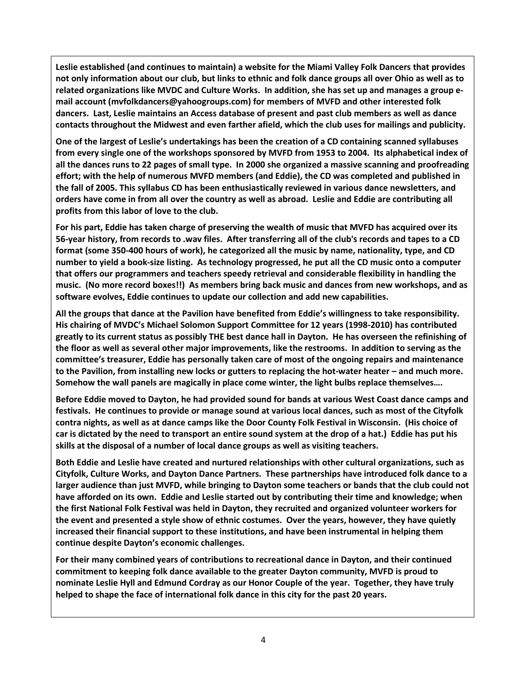**Leslie established (and continues to maintain) a website for the Miami Valley Folk Dancers that provides not only information about our club, but links to ethnic and folk dance groups all over Ohio as well as to related organizations like MVDC and Culture Works. In addition, she has set up and manages a group email account [\(mvfolkdancers@yahoogroups.com\)](mailto:mvfolkdancers@yahoogroups.com) for members of MVFD and other interested folk dancers. Last, Leslie maintains an Access database of present and past club members as well as dance contacts throughout the Midwest and even farther afield, which the club uses for mailings and publicity.** 

**One of the largest of Leslie's undertakings has been the creation of a CD containing scanned syllabuses from every single one of the workshops sponsored by MVFD from 1953 to 2004. Its alphabetical index of all the dances runs to 22 pages of small type. In 2000 she organized a massive scanning and proofreading effort; with the help of numerous MVFD members (and Eddie), the CD was completed and published in the fall of 2005. This syllabus CD has been enthusiastically reviewed in various dance newsletters, and orders have come in from all over the country as well as abroad. Leslie and Eddie are contributing all profits from this labor of love to the club.** 

**For his part, Eddie has taken charge of preserving the wealth of music that MVFD has acquired over its 56-year history, from records to .wav files. After transferring all of the club's records and tapes to a CD format (some 350-400 hours of work), he categorized all the music by name, nationality, type, and CD number to yield a book-size listing. As technology progressed, he put all the CD music onto a computer that offers our programmers and teachers speedy retrieval and considerable flexibility in handling the music. (No more record boxes!!) As members bring back music and dances from new workshops, and as software evolves, Eddie continues to update our collection and add new capabilities.** 

**All the groups that dance at the Pavilion have benefited from Eddie's willingness to take responsibility. His chairing of MVDC's Michael Solomon Support Committee for 12 years (1998-2010) has contributed greatly to its current status as possibly THE best dance hall in Dayton. He has overseen the refinishing of the floor as well as several other major improvements, like the restrooms. In addition to serving as the committee's treasurer, Eddie has personally taken care of most of the ongoing repairs and maintenance to the Pavilion, from installing new locks or gutters to replacing the hot-water heater – and much more. Somehow the wall panels are magically in place come winter, the light bulbs replace themselves….**

**Before Eddie moved to Dayton, he had provided sound for bands at various West Coast dance camps and festivals. He continues to provide or manage sound at various local dances, such as most of the Cityfolk contra nights, as well as at dance camps like the Door County Folk Festival in Wisconsin. (His choice of car is dictated by the need to transport an entire sound system at the drop of a hat.) Eddie has put his skills at the disposal of a number of local dance groups as well as visiting teachers.** 

**Both Eddie and Leslie have created and nurtured relationships with other cultural organizations, such as Cityfolk, Culture Works, and Dayton Dance Partners. These partnerships have introduced folk dance to a larger audience than just MVFD, while bringing to Dayton some teachers or bands that the club could not have afforded on its own. Eddie and Leslie started out by contributing their time and knowledge; when the first National Folk Festival was held in Dayton, they recruited and organized volunteer workers for the event and presented a style show of ethnic costumes. Over the years, however, they have quietly increased their financial support to these institutions, and have been instrumental in helping them continue despite Dayton's economic challenges.** 

**For their many combined years of contributions to recreational dance in Dayton, and their continued commitment to keeping folk dance available to the greater Dayton community, MVFD is proud to nominate Leslie Hyll and Edmund Cordray as our Honor Couple of the year. Together, they have truly helped to shape the face of international folk dance in this city for the past 20 years.**